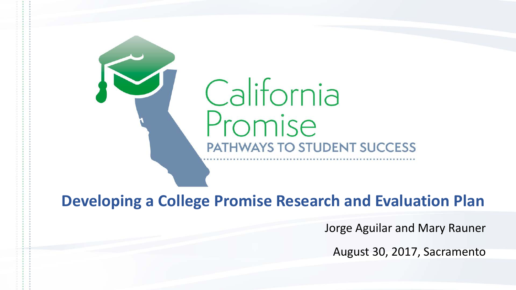

### **Developing a College Promise Research and Evaluation Plan**

Jorge Aguilar and Mary Rauner

August 30, 2017, Sacramento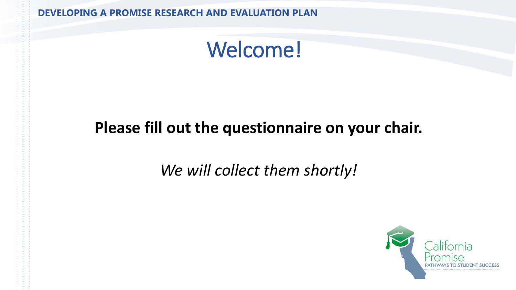## Welcome!

### **Please fill out the questionnaire on your chair.**

### *We will collect them shortly!*

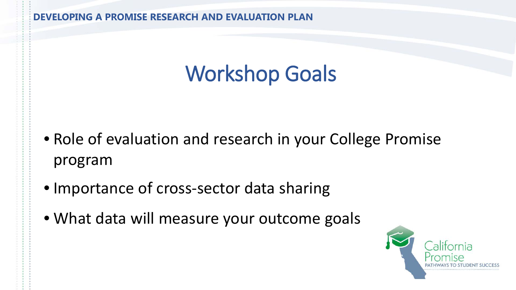# Workshop Goals

- Role of evaluation and research in your College Promise program
- Importance of cross-sector data sharing
- What data will measure your outcome goals

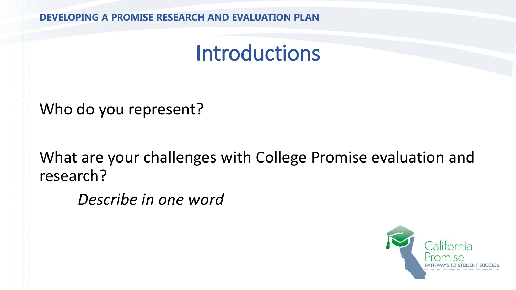## Introductions

Who do you represent?

What are your challenges with College Promise evaluation and research?

*Describe in one word* 

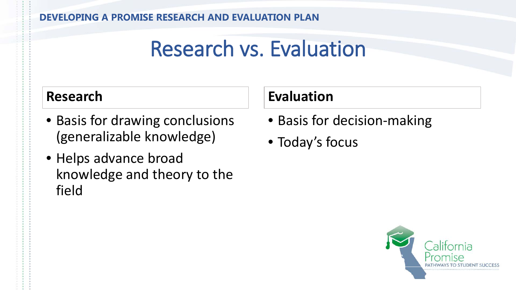## Research vs. Evaluation

### **Research**

- Basis for drawing conclusions (generalizable knowledge)
- Helps advance broad knowledge and theory to the field

### **Evaluation**

- Basis for decision-making
- Today's focus

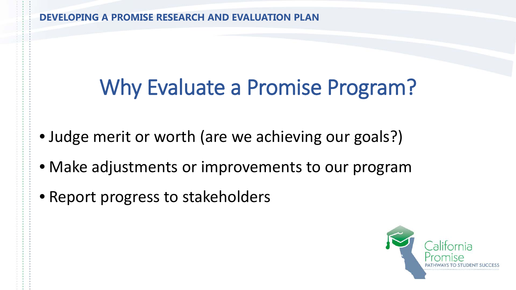# Why Evaluate a Promise Program?

- Judge merit or worth (are we achieving our goals?)
- Make adjustments or improvements to our program
- Report progress to stakeholders

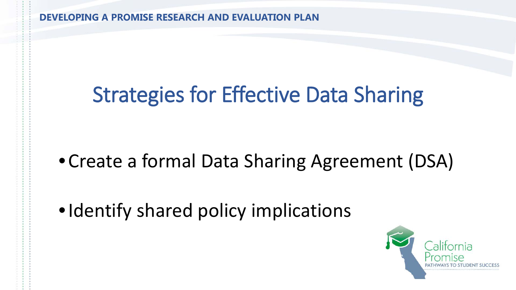# Strategies for Effective Data Sharing

### •Create a formal Data Sharing Agreement (DSA)

• Identify shared policy implications

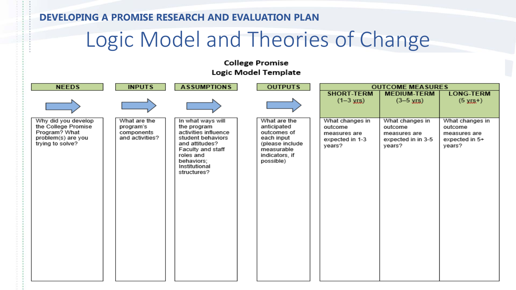## Logic Model and Theories of Change

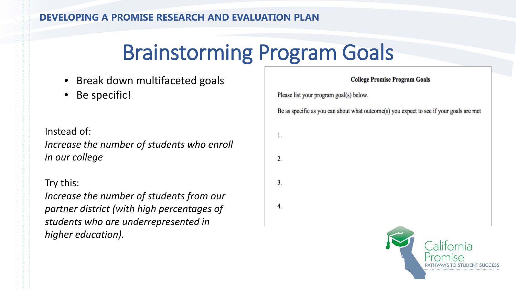# Brainstorming Program Goals

- Break down multifaceted goals
- Be specific!

Instead of: *Increase the number of students who enroll in our college*

#### Try this:

*Increase the number of students from our partner district (with high percentages of students who are underrepresented in higher education).* 

**College Promise Program Goals** Please list your program goal(s) below. Be as specific as you can about what outcome(s) you expect to see if your goals are met 1. 2.  $3.$ 4.

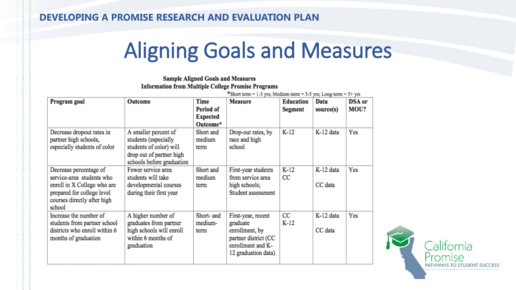# Aligning Goals and Measures

#### **Sample Aligned Goals and Measures Information from Multiple College Promise Programs**

| Program goal                                                                                                                                              | <b>Outcome</b>                                                                                                                   | Time                                     | $\text{*Short term} = 1-3 \text{ yrs}$ ; Medium-term = 3-5 yrs; Long-term = 5+ yrs<br><b>Measure</b>                 | <b>Education</b>      | Data                 | <b>DSA</b> or |
|-----------------------------------------------------------------------------------------------------------------------------------------------------------|----------------------------------------------------------------------------------------------------------------------------------|------------------------------------------|----------------------------------------------------------------------------------------------------------------------|-----------------------|----------------------|---------------|
|                                                                                                                                                           |                                                                                                                                  | Period of<br><b>Expected</b><br>Outcome* |                                                                                                                      | <b>Segment</b>        | source(s)            | MOU?          |
| Decrease dropout rates in<br>partner high schools,<br>especially students of color                                                                        | A smaller percent of<br>students (especially<br>students of color) will<br>drop out of partner high<br>schools before graduation | Short and<br>medium<br>term              | Drop-out rates, by<br>race and high<br>school                                                                        | $K-12$                | K-12 data            | Yes           |
| Decrease percentage of<br>service-area students who<br>enroll in X College who are<br>prepared for college level<br>courses directly after high<br>school | Fewer service area<br>students will take<br>developmental courses<br>during their first year                                     | Short and<br>medium<br>term              | First-year students<br>from service area<br>high schools;<br>Student assessment                                      | $K-12$<br>CC          | K-12 data<br>CC data | Yes           |
| Increase the number of<br>students from partner school<br>districts who enroll within 6<br>months of graduation                                           | A higher number of<br>graduates from partner<br>high schools will enroll<br>within 6 months of<br>graduation                     | Short- and<br>medium-<br>term            | First-year, recent<br>graduate<br>enrollment, by<br>partner district (CC<br>enrollment and K-<br>12 graduation data) | $_{\rm CC}$<br>$K-12$ | K-12 data<br>CC data | Yes           |

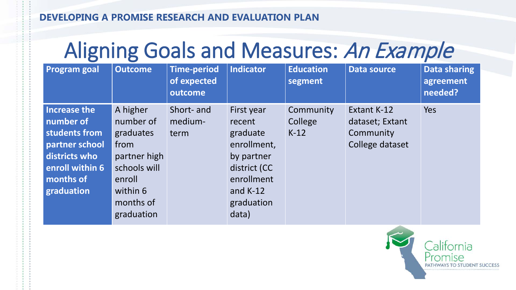# Aligning Goals and Measures: An Example

| <b>Program goal</b>                                                                                                         | <b>Outcome</b>                                                                                                              | <b>Time-period</b><br>of expected<br>outcome | <b>Indicator</b>                                                                                                                 | <b>Education</b><br>segment    | <b>Data source</b>                                             | Data sharing<br>agreement<br>needed? |
|-----------------------------------------------------------------------------------------------------------------------------|-----------------------------------------------------------------------------------------------------------------------------|----------------------------------------------|----------------------------------------------------------------------------------------------------------------------------------|--------------------------------|----------------------------------------------------------------|--------------------------------------|
| Increase the<br>number of<br>students from<br>partner school<br>districts who<br>enroll within 6<br>months of<br>graduation | A higher<br>number of<br>graduates<br>from<br>partner high<br>schools will<br>enroll<br>within 6<br>months of<br>graduation | Short- and<br>medium-<br>term                | First year<br>recent<br>graduate<br>enrollment,<br>by partner<br>district (CC<br>enrollment<br>and $K-12$<br>graduation<br>data) | Community<br>College<br>$K-12$ | Extant K-12<br>dataset; Extant<br>Community<br>College dataset | <b>Yes</b>                           |

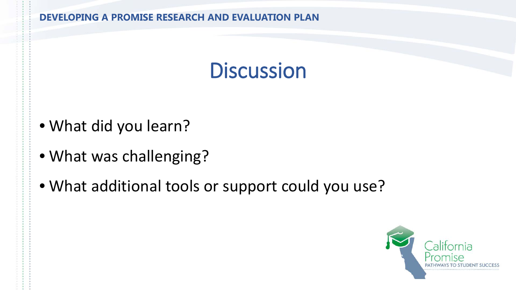## **Discussion**

- What did you learn?
- What was challenging?
- What additional tools or support could you use?

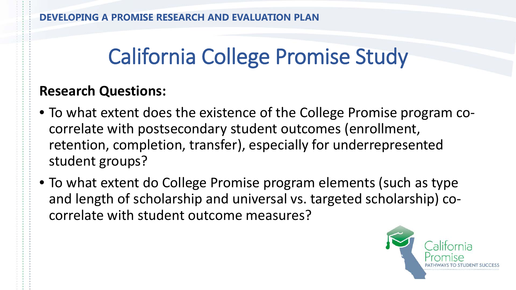# California College Promise Study

### **Research Questions:**

- To what extent does the existence of the College Promise program cocorrelate with postsecondary student outcomes (enrollment, retention, completion, transfer), especially for underrepresented student groups?
- To what extent do College Promise program elements (such as type and length of scholarship and universal vs. targeted scholarship) cocorrelate with student outcome measures?